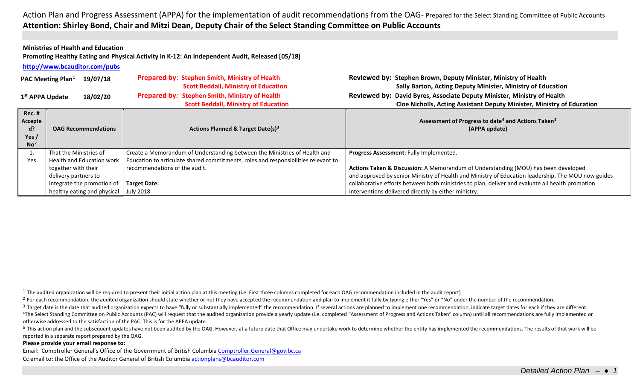### <span id="page-0-4"></span><span id="page-0-3"></span><span id="page-0-2"></span><span id="page-0-1"></span><span id="page-0-0"></span>**Ministries of Health and Education**

**Promoting Healthy Eating and Physical Activity in K‐12: An Independent Audit, Released [05/18]**

**<http://www.bcauditor.com/pubs>**

|                                                       | 19/07/18<br><b>PAC Meeting Plan</b> <sup>1</sup> | Prepared by: Stephen Smith, Ministry of Health                                     | Reviewed by: Stephen Brown, Deputy Minister, Ministry of Health                                    |
|-------------------------------------------------------|--------------------------------------------------|------------------------------------------------------------------------------------|----------------------------------------------------------------------------------------------------|
|                                                       |                                                  | <b>Scott Beddall, Ministry of Education</b>                                        | Sally Barton, Acting Deputy Minister, Ministry of Education                                        |
| 1 <sup>st</sup> APPA Update                           | 18/02/20                                         | Prepared by: Stephen Smith, Ministry of Health                                     | Reviewed by: David Byres, Associate Deputy Minister, Ministry of Health                            |
|                                                       |                                                  | <b>Scott Beddall, Ministry of Education</b>                                        | Cloe Nicholls, Acting Assistant Deputy Minister, Ministry of Education                             |
| Rec. #<br>Accepte<br>d?<br>Yes $/$<br>No <sup>2</sup> | <b>OAG Recommendations</b>                       | <b>Actions Planned &amp; Target Date(s)3</b>                                       | Assessment of Progress to date <sup>4</sup> and Actions Taken <sup>5</sup><br>(APPA update)        |
|                                                       | That the Ministries of                           | Create a Memorandum of Understanding between the Ministries of Health and          | Progress Assessment: Fully Implemented.                                                            |
| Yes                                                   |                                                  |                                                                                    |                                                                                                    |
|                                                       | <b>Health and Education work</b>                 | Education to articulate shared commitments, roles and responsibilities relevant to |                                                                                                    |
|                                                       | together with their                              | recommendations of the audit.                                                      | Actions Taken & Discussion: A Memorandum of Understanding (MOU) has been developed                 |
|                                                       | delivery partners to                             |                                                                                    | and approved by senior Ministry of Health and Ministry of Education leadership. The MOU now guides |
|                                                       | integrate the promotion of                       | <b>Target Date:</b>                                                                | collaborative efforts between both ministries to plan, deliver and evaluate all health promotion   |

#### **Please provide your email response to:**

Email: Comptroller General's Office of the Government of British Columbi[a Comptroller.General@gov.bc.ca](mailto:Comptroller.General@gov.bc.ca) Cc email to: the Office of the Auditor General of British Columbi[a actionplans@bcauditor.com](mailto:actionplans@bcauditor.com)

 $1$  The audited organization will be required to present their initial action plan at this meeting (i.e. First three columns completed for each OAG recommendation included in the audit report)

<sup>&</sup>lt;sup>2</sup> For each recommendation, the audited organization should state whether or not they have accepted the recommendation and plan to implement it fully by typing either "Yes" or "No" under the number of the recommendation.

<sup>&</sup>lt;sup>3</sup> Target date is the date that audited organization expects to have "fully or substantially implemented" the recommendation. If several actions are planned to implement one recommendation, indicate target dates for each <sup>4</sup>The Select Standing Committee on Public Accounts (PAC) will request that the audited organization provide a yearly update (i.e. completed "Assessment of Progress and Actions Taken" column) until all recommendations are otherwise addressed to the satisfaction of the PAC. This is for the APPA update.

<sup>&</sup>lt;sup>5</sup> This action plan and the subsequent updates have not been audited by the OAG. However, at a future date that Office may undertake work to determine whether the entity has implemented the recommendations. The results of reported in a separate report prepared by the OAG.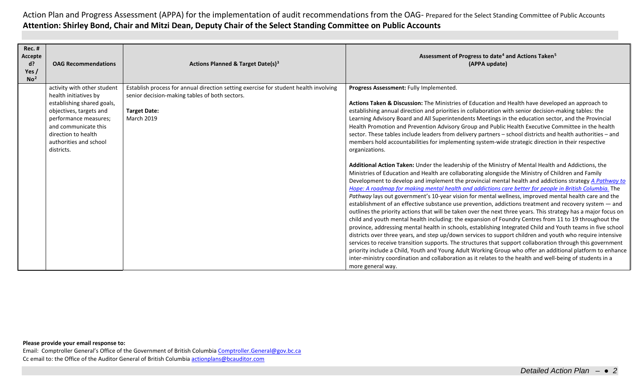| <b>Rec. #</b><br>Accepte<br>d?<br>Yes /<br>No <sup>2</sup> | <b>OAG Recommendations</b>                                                                                                                                                                                                    | Actions Planned & Target Date(s) <sup>3</sup>                                                                                                                                      | Assessment of Progress to date <sup>4</sup> and Actions Taken <sup>5</sup><br>(APPA update)                                                                                                                                                                                                                                                                                                                                                                                                                                                                                                                                                                                                                                                                                                                                                                                                                                                                                                                                                                                                                                                                                                                                                                                                                                                                                                                                                                                                                                                                                                                                                                                                                                                                                                                                                                                                                                                                                                                                                                                                                                                                                        |
|------------------------------------------------------------|-------------------------------------------------------------------------------------------------------------------------------------------------------------------------------------------------------------------------------|------------------------------------------------------------------------------------------------------------------------------------------------------------------------------------|------------------------------------------------------------------------------------------------------------------------------------------------------------------------------------------------------------------------------------------------------------------------------------------------------------------------------------------------------------------------------------------------------------------------------------------------------------------------------------------------------------------------------------------------------------------------------------------------------------------------------------------------------------------------------------------------------------------------------------------------------------------------------------------------------------------------------------------------------------------------------------------------------------------------------------------------------------------------------------------------------------------------------------------------------------------------------------------------------------------------------------------------------------------------------------------------------------------------------------------------------------------------------------------------------------------------------------------------------------------------------------------------------------------------------------------------------------------------------------------------------------------------------------------------------------------------------------------------------------------------------------------------------------------------------------------------------------------------------------------------------------------------------------------------------------------------------------------------------------------------------------------------------------------------------------------------------------------------------------------------------------------------------------------------------------------------------------------------------------------------------------------------------------------------------------|
|                                                            | activity with other student<br>health initiatives by<br>establishing shared goals,<br>objectives, targets and<br>performance measures;<br>and communicate this<br>direction to health<br>authorities and school<br>districts. | Establish process for annual direction setting exercise for student health involving<br>senior decision-making tables of both sectors.<br><b>Target Date:</b><br><b>March 2019</b> | Progress Assessment: Fully Implemented.<br>Actions Taken & Discussion: The Ministries of Education and Health have developed an approach to<br>establishing annual direction and priorities in collaboration with senior decision-making tables: the<br>Learning Advisory Board and All Superintendents Meetings in the education sector, and the Provincial<br>Health Promotion and Prevention Advisory Group and Public Health Executive Committee in the health<br>sector. These tables include leaders from delivery partners - school districts and health authorities - and<br>members hold accountabilities for implementing system-wide strategic direction in their respective<br>organizations.<br>Additional Action Taken: Under the leadership of the Ministry of Mental Health and Addictions, the<br>Ministries of Education and Health are collaborating alongside the Ministry of Children and Family<br>Development to develop and implement the provincial mental health and addictions strategy A Pathway to<br>Hope: A roadmap for making mental health and addictions care better for people in British Columbia. The<br>Pathway lays out government's 10-year vision for mental wellness, improved mental health care and the<br>establishment of an effective substance use prevention, addictions treatment and recovery system - and<br>outlines the priority actions that will be taken over the next three years. This strategy has a major focus on<br>child and youth mental health including: the expansion of Foundry Centres from 11 to 19 throughout the<br>province, addressing mental health in schools, establishing Integrated Child and Youth teams in five school<br>districts over three years, and step up/down services to support children and youth who require intensive<br>services to receive transition supports. The structures that support collaboration through this government<br>priority include a Child, Youth and Young Adult Working Group who offer an additional platform to enhance<br>inter-ministry coordination and collaboration as it relates to the health and well-being of students in a<br>more general way. |

### **Please provide your email response to:**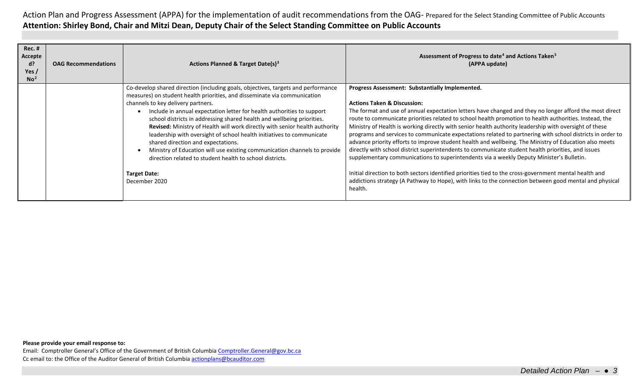| <b>Rec. #</b><br>Accepte<br>d?<br>Yes $/$<br>No <sup>2</sup> | <b>OAG Recommendations</b> | Actions Planned & Target Date(s) <sup>3</sup>                                                                                                                                                                                                                                                                                                                                                                                                                                                                                                                                                                                                                                                                                           | Assessment of Progress to date <sup>4</sup> and Actions Taken <sup>5</sup><br>(APPA update)                                                                                                                                                                                                                                                                                                                                                                                                                                                                                                                                                                                                                                                                                                                                                                                                                                                                                                                                                                                      |
|--------------------------------------------------------------|----------------------------|-----------------------------------------------------------------------------------------------------------------------------------------------------------------------------------------------------------------------------------------------------------------------------------------------------------------------------------------------------------------------------------------------------------------------------------------------------------------------------------------------------------------------------------------------------------------------------------------------------------------------------------------------------------------------------------------------------------------------------------------|----------------------------------------------------------------------------------------------------------------------------------------------------------------------------------------------------------------------------------------------------------------------------------------------------------------------------------------------------------------------------------------------------------------------------------------------------------------------------------------------------------------------------------------------------------------------------------------------------------------------------------------------------------------------------------------------------------------------------------------------------------------------------------------------------------------------------------------------------------------------------------------------------------------------------------------------------------------------------------------------------------------------------------------------------------------------------------|
|                                                              |                            | Co-develop shared direction (including goals, objectives, targets and performance<br>measures) on student health priorities, and disseminate via communication<br>channels to key delivery partners.<br>Include in annual expectation letter for health authorities to support<br>school districts in addressing shared health and wellbeing priorities.<br>Revised: Ministry of Health will work directly with senior health authority<br>leadership with oversight of school health initiatives to communicate<br>shared direction and expectations.<br>Ministry of Education will use existing communication channels to provide<br>direction related to student health to school districts.<br><b>Target Date:</b><br>December 2020 | Progress Assessment: Substantially Implemented.<br><b>Actions Taken &amp; Discussion:</b><br>The format and use of annual expectation letters have changed and they no longer afford the most direct<br>route to communicate priorities related to school health promotion to health authorities. Instead, the<br>Ministry of Health is working directly with senior health authority leadership with oversight of these<br>programs and services to communicate expectations related to partnering with school districts in order to<br>advance priority efforts to improve student health and wellbeing. The Ministry of Education also meets<br>directly with school district superintendents to communicate student health priorities, and issues<br>supplementary communications to superintendents via a weekly Deputy Minister's Bulletin.<br>Initial direction to both sectors identified priorities tied to the cross-government mental health and<br>addictions strategy (A Pathway to Hope), with links to the connection between good mental and physical<br>health. |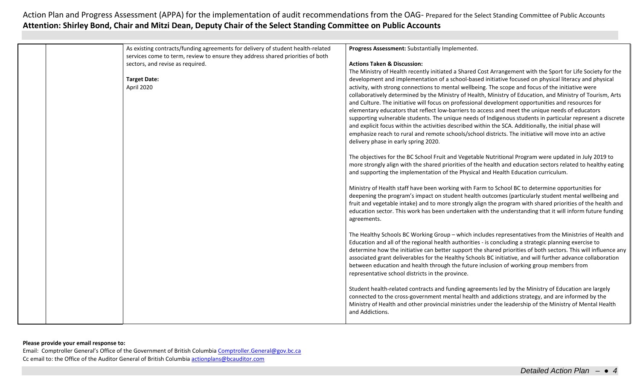| As existing contracts/funding agreements for delivery of student health-related | Progress Assessment: Substantially Implemented.                                                                                                                                                                                                                                                                                                                                                                                                                                                                                                                                                  |
|---------------------------------------------------------------------------------|--------------------------------------------------------------------------------------------------------------------------------------------------------------------------------------------------------------------------------------------------------------------------------------------------------------------------------------------------------------------------------------------------------------------------------------------------------------------------------------------------------------------------------------------------------------------------------------------------|
| services come to term, review to ensure they address shared priorities of both  |                                                                                                                                                                                                                                                                                                                                                                                                                                                                                                                                                                                                  |
| sectors, and revise as required.                                                | <b>Actions Taken &amp; Discussion:</b>                                                                                                                                                                                                                                                                                                                                                                                                                                                                                                                                                           |
|                                                                                 | The Ministry of Health recently initiated a Shared Cost Arrangement with the Sport for Life Society for the                                                                                                                                                                                                                                                                                                                                                                                                                                                                                      |
| <b>Target Date:</b>                                                             | development and implementation of a school-based initiative focused on physical literacy and physical                                                                                                                                                                                                                                                                                                                                                                                                                                                                                            |
| April 2020                                                                      | activity, with strong connections to mental wellbeing. The scope and focus of the initiative were<br>collaboratively determined by the Ministry of Health, Ministry of Education, and Ministry of Tourism, Arts<br>and Culture. The initiative will focus on professional development opportunities and resources for<br>elementary educators that reflect low-barriers to access and meet the unique needs of educators<br>supporting vulnerable students. The unique needs of Indigenous students in particular represent a discrete                                                           |
|                                                                                 | and explicit focus within the activities described within the SCA. Additionally, the initial phase will<br>emphasize reach to rural and remote schools/school districts. The initiative will move into an active<br>delivery phase in early spring 2020.                                                                                                                                                                                                                                                                                                                                         |
|                                                                                 | The objectives for the BC School Fruit and Vegetable Nutritional Program were updated in July 2019 to<br>more strongly align with the shared priorities of the health and education sectors related to healthy eating<br>and supporting the implementation of the Physical and Health Education curriculum.                                                                                                                                                                                                                                                                                      |
|                                                                                 | Ministry of Health staff have been working with Farm to School BC to determine opportunities for<br>deepening the program's impact on student health outcomes (particularly student mental wellbeing and<br>fruit and vegetable intake) and to more strongly align the program with shared priorities of the health and<br>education sector. This work has been undertaken with the understanding that it will inform future funding<br>agreements.                                                                                                                                              |
|                                                                                 | The Healthy Schools BC Working Group - which includes representatives from the Ministries of Health and<br>Education and all of the regional health authorities - is concluding a strategic planning exercise to<br>determine how the initiative can better support the shared priorities of both sectors. This will influence any<br>associated grant deliverables for the Healthy Schools BC initiative, and will further advance collaboration<br>between education and health through the future inclusion of working group members from<br>representative school districts in the province. |
|                                                                                 | Student health-related contracts and funding agreements led by the Ministry of Education are largely<br>connected to the cross-government mental health and addictions strategy, and are informed by the<br>Ministry of Health and other provincial ministries under the leadership of the Ministry of Mental Health<br>and Addictions.                                                                                                                                                                                                                                                          |

### **Please provide your email response to:**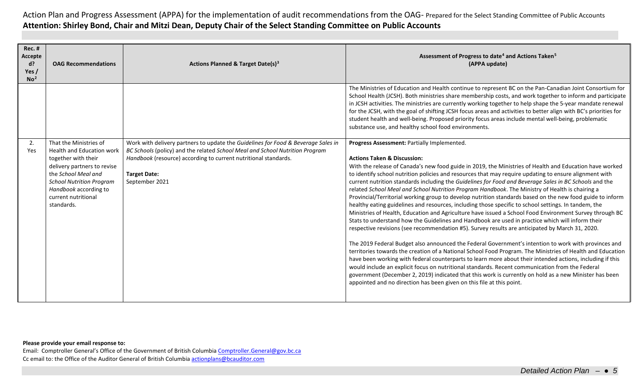| <b>Rec. #</b><br>Accepte<br>d?<br>Yes /<br>No <sup>2</sup> | <b>OAG Recommendations</b>                                                                                                                                                                                                        | Actions Planned & Target Date(s) <sup>3</sup>                                                                                                                                                                                                                                 | Assessment of Progress to date <sup>4</sup> and Actions Taken <sup>5</sup><br>(APPA update)                                                                                                                                                                                                                                                                                                                                                                                                                                                                                                                                                                                                                                                                                                                                                                                                                                                                                                                                                                                                                                                                                                                                                                                                                                                                                                                                                                                                                                                                                                                                                                                             |
|------------------------------------------------------------|-----------------------------------------------------------------------------------------------------------------------------------------------------------------------------------------------------------------------------------|-------------------------------------------------------------------------------------------------------------------------------------------------------------------------------------------------------------------------------------------------------------------------------|-----------------------------------------------------------------------------------------------------------------------------------------------------------------------------------------------------------------------------------------------------------------------------------------------------------------------------------------------------------------------------------------------------------------------------------------------------------------------------------------------------------------------------------------------------------------------------------------------------------------------------------------------------------------------------------------------------------------------------------------------------------------------------------------------------------------------------------------------------------------------------------------------------------------------------------------------------------------------------------------------------------------------------------------------------------------------------------------------------------------------------------------------------------------------------------------------------------------------------------------------------------------------------------------------------------------------------------------------------------------------------------------------------------------------------------------------------------------------------------------------------------------------------------------------------------------------------------------------------------------------------------------------------------------------------------------|
|                                                            |                                                                                                                                                                                                                                   |                                                                                                                                                                                                                                                                               | The Ministries of Education and Health continue to represent BC on the Pan-Canadian Joint Consortium for<br>School Health (JCSH). Both ministries share membership costs, and work together to inform and participate<br>in JCSH activities. The ministries are currently working together to help shape the 5-year mandate renewal<br>for the JCSH, with the goal of shifting JCSH focus areas and activities to better align with BC's priorities for<br>student health and well-being. Proposed priority focus areas include mental well-being, problematic<br>substance use, and healthy school food environments.                                                                                                                                                                                                                                                                                                                                                                                                                                                                                                                                                                                                                                                                                                                                                                                                                                                                                                                                                                                                                                                                  |
| 2.<br>Yes                                                  | That the Ministries of<br>Health and Education work<br>together with their<br>delivery partners to revise<br>the School Meal and<br><b>School Nutrition Program</b><br>Handbook according to<br>current nutritional<br>standards. | Work with delivery partners to update the Guidelines for Food & Beverage Sales in<br>BC Schools (policy) and the related School Meal and School Nutrition Program<br>Handbook (resource) according to current nutritional standards.<br><b>Target Date:</b><br>September 2021 | Progress Assessment: Partially Implemented.<br><b>Actions Taken &amp; Discussion:</b><br>With the release of Canada's new food guide in 2019, the Ministries of Health and Education have worked<br>to identify school nutrition policies and resources that may require updating to ensure alignment with<br>current nutrition standards including the Guidelines for Food and Beverage Sales in BC Schools and the<br>related School Meal and School Nutrition Program Handbook. The Ministry of Health is chairing a<br>Provincial/Territorial working group to develop nutrition standards based on the new food guide to inform<br>healthy eating guidelines and resources, including those specific to school settings. In tandem, the<br>Ministries of Health, Education and Agriculture have issued a School Food Environment Survey through BC<br>Stats to understand how the Guidelines and Handbook are used in practice which will inform their<br>respective revisions (see recommendation #5). Survey results are anticipated by March 31, 2020.<br>The 2019 Federal Budget also announced the Federal Government's intention to work with provinces and<br>territories towards the creation of a National School Food Program. The Ministries of Health and Education<br>have been working with federal counterparts to learn more about their intended actions, including if this<br>would include an explicit focus on nutritional standards. Recent communication from the Federal<br>government (December 2, 2019) indicated that this work is currently on hold as a new Minister has been<br>appointed and no direction has been given on this file at this point. |

### **Please provide your email response to:**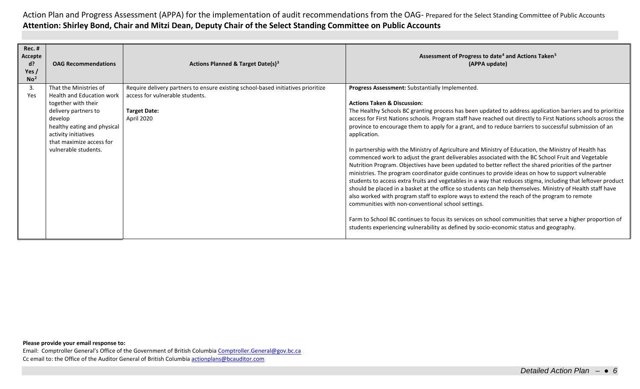| <b>Rec. #</b><br>Accepte<br>d?<br>Yes/<br>No <sup>2</sup> | <b>OAG Recommendations</b>                                                                                                                                                                                                      | Actions Planned & Target Date(s) <sup>3</sup>                                                                                                            | Assessment of Progress to date <sup>4</sup> and Actions Taken <sup>5</sup><br>(APPA update)                                                                                                                                                                                                                                                                                                                                                                                                                                                                                                                                                                                                                                                                                                                                                                                                                                                                                                                                                                                                                                                                                                                                                                                                                                                                                                                                                                              |
|-----------------------------------------------------------|---------------------------------------------------------------------------------------------------------------------------------------------------------------------------------------------------------------------------------|----------------------------------------------------------------------------------------------------------------------------------------------------------|--------------------------------------------------------------------------------------------------------------------------------------------------------------------------------------------------------------------------------------------------------------------------------------------------------------------------------------------------------------------------------------------------------------------------------------------------------------------------------------------------------------------------------------------------------------------------------------------------------------------------------------------------------------------------------------------------------------------------------------------------------------------------------------------------------------------------------------------------------------------------------------------------------------------------------------------------------------------------------------------------------------------------------------------------------------------------------------------------------------------------------------------------------------------------------------------------------------------------------------------------------------------------------------------------------------------------------------------------------------------------------------------------------------------------------------------------------------------------|
| 3.<br>Yes                                                 | That the Ministries of<br><b>Health and Education work</b><br>together with their<br>delivery partners to<br>develop<br>healthy eating and physical<br>activity initiatives<br>that maximize access for<br>vulnerable students. | Require delivery partners to ensure existing school-based initiatives prioritize<br>access for vulnerable students.<br><b>Target Date:</b><br>April 2020 | Progress Assessment: Substantially Implemented.<br><b>Actions Taken &amp; Discussion:</b><br>The Healthy Schools BC granting process has been updated to address application barriers and to prioritize<br>access for First Nations schools. Program staff have reached out directly to First Nations schools across the<br>province to encourage them to apply for a grant, and to reduce barriers to successful submission of an<br>application.<br>In partnership with the Ministry of Agriculture and Ministry of Education, the Ministry of Health has<br>commenced work to adjust the grant deliverables associated with the BC School Fruit and Vegetable<br>Nutrition Program. Objectives have been updated to better reflect the shared priorities of the partner<br>ministries. The program coordinator guide continues to provide ideas on how to support vulnerable<br>students to access extra fruits and vegetables in a way that reduces stigma, including that leftover product<br>should be placed in a basket at the office so students can help themselves. Ministry of Health staff have<br>also worked with program staff to explore ways to extend the reach of the program to remote<br>communities with non-conventional school settings.<br>Farm to School BC continues to focus its services on school communities that serve a higher proportion of<br>students experiencing vulnerability as defined by socio-economic status and geography. |

### **Please provide your email response to:**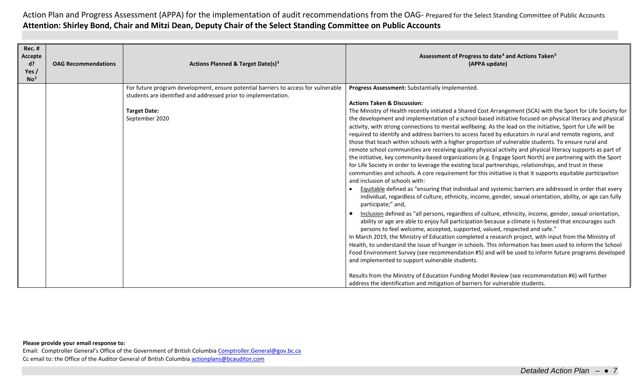| <b>Rec. #</b><br>Accepte<br>$d$ ?<br>Yes /<br>No <sup>2</sup> | <b>OAG Recommendations</b> | Actions Planned & Target Date(s) <sup>3</sup>                                                                                                        | Assessment of Progress to date <sup>4</sup> and Actions Taken <sup>5</sup><br>(APPA update)                                                                                                                                                                                                                                                                                                                                                                                                                                                                                                                                                                                                                                                                                                                                                                                                                                                                                                                                                                                                                                                                                                                                                                                                           |
|---------------------------------------------------------------|----------------------------|------------------------------------------------------------------------------------------------------------------------------------------------------|-------------------------------------------------------------------------------------------------------------------------------------------------------------------------------------------------------------------------------------------------------------------------------------------------------------------------------------------------------------------------------------------------------------------------------------------------------------------------------------------------------------------------------------------------------------------------------------------------------------------------------------------------------------------------------------------------------------------------------------------------------------------------------------------------------------------------------------------------------------------------------------------------------------------------------------------------------------------------------------------------------------------------------------------------------------------------------------------------------------------------------------------------------------------------------------------------------------------------------------------------------------------------------------------------------|
|                                                               |                            | For future program development, ensure potential barriers to access for vulnerable<br>students are identified and addressed prior to implementation. | Progress Assessment: Substantially Implemented.                                                                                                                                                                                                                                                                                                                                                                                                                                                                                                                                                                                                                                                                                                                                                                                                                                                                                                                                                                                                                                                                                                                                                                                                                                                       |
|                                                               |                            |                                                                                                                                                      | <b>Actions Taken &amp; Discussion:</b>                                                                                                                                                                                                                                                                                                                                                                                                                                                                                                                                                                                                                                                                                                                                                                                                                                                                                                                                                                                                                                                                                                                                                                                                                                                                |
|                                                               |                            | <b>Target Date:</b><br>September 2020                                                                                                                | The Ministry of Health recently initiated a Shared Cost Arrangement (SCA) with the Sport for Life Society for<br>the development and implementation of a school-based initiative focused on physical literacy and physical<br>activity, with strong connections to mental wellbeing. As the lead on the initiative, Sport for Life will be<br>required to identify and address barriers to access faced by educators in rural and remote regions, and<br>those that teach within schools with a higher proportion of vulnerable students. To ensure rural and<br>remote school communities are receiving quality physical activity and physical literacy supports as part of<br>the initiative, key community-based organizations (e.g. Engage Sport North) are partnering with the Sport<br>for Life Society in order to leverage the existing local partnerships, relationships, and trust in these<br>communities and schools. A core requirement for this initiative is that it supports equitable participation<br>and inclusion of schools with:<br>Equitable defined as "ensuring that individual and systemic barriers are addressed in order that every<br>individual, regardless of culture, ethnicity, income, gender, sexual orientation, ability, or age can fully<br>participate;" and, |
|                                                               |                            |                                                                                                                                                      | Inclusion defined as "all persons, regardless of culture, ethnicity, income, gender, sexual orientation,<br>ability or age are able to enjoy full participation because a climate is fostered that encourages such<br>persons to feel welcome, accepted, supported, valued, respected and safe."<br>In March 2019, the Ministry of Education completed a research project, with input from the Ministry of<br>Health, to understand the issue of hunger in schools. This information has been used to inform the School<br>Food Environment Survey (see recommendation #5) and will be used to inform future programs developed<br>and implemented to support vulnerable students.                                                                                                                                                                                                                                                                                                                                                                                                                                                                                                                                                                                                                    |
|                                                               |                            |                                                                                                                                                      | Results from the Ministry of Education Funding Model Review (see recommendation #6) will further<br>address the identification and mitigation of barriers for vulnerable students.                                                                                                                                                                                                                                                                                                                                                                                                                                                                                                                                                                                                                                                                                                                                                                                                                                                                                                                                                                                                                                                                                                                    |

### **Please provide your email response to:**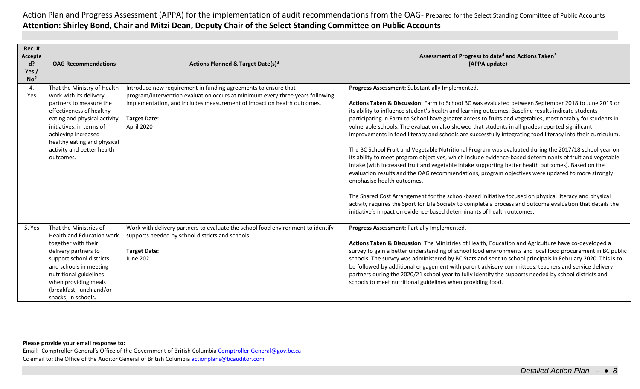| <b>Rec. #</b><br>Accepte<br>$d$ ?<br>Yes /<br>No <sup>2</sup> | <b>OAG Recommendations</b>                                                                                                                                                                                                                                                | Actions Planned & Target Date(s) <sup>3</sup>                                                                                                                                                                                                                  | Assessment of Progress to date <sup>4</sup> and Actions Taken <sup>5</sup><br>(APPA update)                                                                                                                                                                                                                                                                                                                                                                                                                                                                                                                                                                                                                                                                                                                                                                                                                                                                                                                                                                                                                                                                                                                                                                                                                                                                |
|---------------------------------------------------------------|---------------------------------------------------------------------------------------------------------------------------------------------------------------------------------------------------------------------------------------------------------------------------|----------------------------------------------------------------------------------------------------------------------------------------------------------------------------------------------------------------------------------------------------------------|------------------------------------------------------------------------------------------------------------------------------------------------------------------------------------------------------------------------------------------------------------------------------------------------------------------------------------------------------------------------------------------------------------------------------------------------------------------------------------------------------------------------------------------------------------------------------------------------------------------------------------------------------------------------------------------------------------------------------------------------------------------------------------------------------------------------------------------------------------------------------------------------------------------------------------------------------------------------------------------------------------------------------------------------------------------------------------------------------------------------------------------------------------------------------------------------------------------------------------------------------------------------------------------------------------------------------------------------------------|
| 4.<br>Yes                                                     | That the Ministry of Health<br>work with its delivery<br>partners to measure the<br>effectiveness of healthy<br>eating and physical activity<br>initiatives, in terms of<br>achieving increased<br>healthy eating and physical<br>activity and better health<br>outcomes. | Introduce new requirement in funding agreements to ensure that<br>program/intervention evaluation occurs at minimum every three years following<br>implementation, and includes measurement of impact on health outcomes.<br><b>Target Date:</b><br>April 2020 | Progress Assessment: Substantially Implemented.<br>Actions Taken & Discussion: Farm to School BC was evaluated between September 2018 to June 2019 on<br>its ability to influence student's health and learning outcomes. Baseline results indicate students<br>participating in Farm to School have greater access to fruits and vegetables, most notably for students in<br>vulnerable schools. The evaluation also showed that students in all grades reported significant<br>improvements in food literacy and schools are successfully integrating food literacy into their curriculum.<br>The BC School Fruit and Vegetable Nutritional Program was evaluated during the 2017/18 school year on<br>its ability to meet program objectives, which include evidence-based determinants of fruit and vegetable<br>intake (with increased fruit and vegetable intake supporting better health outcomes). Based on the<br>evaluation results and the OAG recommendations, program objectives were updated to more strongly<br>emphasise health outcomes.<br>The Shared Cost Arrangement for the school-based initiative focused on physical literacy and physical<br>activity requires the Sport for Life Society to complete a process and outcome evaluation that details the<br>initiative's impact on evidence-based determinants of health outcomes. |
| 5. Yes                                                        | That the Ministries of<br>Health and Education work<br>together with their<br>delivery partners to<br>support school districts<br>and schools in meeting<br>nutritional guidelines<br>when providing meals<br>(breakfast, lunch and/or<br>snacks) in schools.             | Work with delivery partners to evaluate the school food environment to identify<br>supports needed by school districts and schools.<br><b>Target Date:</b><br><b>June 2021</b>                                                                                 | Progress Assessment: Partially Implemented.<br>Actions Taken & Discussion: The Ministries of Health, Education and Agriculture have co-developed a<br>survey to gain a better understanding of school food environments and local food procurement in BC public<br>schools. The survey was administered by BC Stats and sent to school principals in February 2020. This is to<br>be followed by additional engagement with parent advisory committees, teachers and service delivery<br>partners during the 2020/21 school year to fully identify the supports needed by school districts and<br>schools to meet nutritional guidelines when providing food.                                                                                                                                                                                                                                                                                                                                                                                                                                                                                                                                                                                                                                                                                              |

**Please provide your email response to:**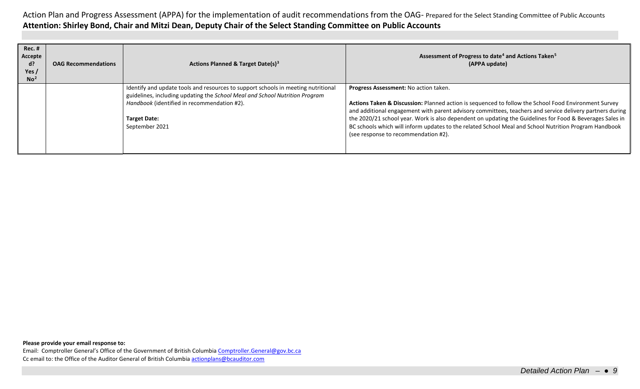| <b>Rec. #</b><br>Accepte<br>d?<br>Yes $/$<br>No <sup>2</sup> | <b>OAG Recommendations</b> | Actions Planned & Target Date(s) <sup>3</sup>                                                                                                                                                                                                            | Assessment of Progress to date <sup>4</sup> and Actions Taken <sup>5</sup><br>(APPA update)                                                                                                                                                                                                                                                                                                                                                                                                                            |
|--------------------------------------------------------------|----------------------------|----------------------------------------------------------------------------------------------------------------------------------------------------------------------------------------------------------------------------------------------------------|------------------------------------------------------------------------------------------------------------------------------------------------------------------------------------------------------------------------------------------------------------------------------------------------------------------------------------------------------------------------------------------------------------------------------------------------------------------------------------------------------------------------|
|                                                              |                            | Identify and update tools and resources to support schools in meeting nutritional<br>guidelines, including updating the School Meal and School Nutrition Program<br>Handbook (identified in recommendation #2).<br><b>Target Date:</b><br>September 2021 | Progress Assessment: No action taken.<br>Actions Taken & Discussion: Planned action is sequenced to follow the School Food Environment Survey<br>and additional engagement with parent advisory committees, teachers and service delivery partners during<br>the 2020/21 school year. Work is also dependent on updating the Guidelines for Food & Beverages Sales in<br>BC schools which will inform updates to the related School Meal and School Nutrition Program Handbook<br>(see response to recommendation #2). |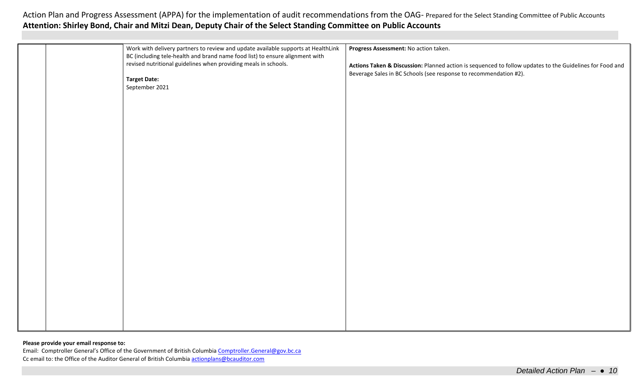| Work with delivery partners to review and update available supports at HealthLink | Progress Assessment: No action taken.                                                                    |
|-----------------------------------------------------------------------------------|----------------------------------------------------------------------------------------------------------|
| BC (including tele-health and brand name food list) to ensure alignment with      |                                                                                                          |
| revised nutritional guidelines when providing meals in schools.                   | Actions Taken & Discussion: Planned action is sequenced to follow updates to the Guidelines for Food and |
|                                                                                   | Beverage Sales in BC Schools (see response to recommendation #2).                                        |
| <b>Target Date:</b>                                                               |                                                                                                          |
| September 2021                                                                    |                                                                                                          |
|                                                                                   |                                                                                                          |
|                                                                                   |                                                                                                          |
|                                                                                   |                                                                                                          |
|                                                                                   |                                                                                                          |
|                                                                                   |                                                                                                          |
|                                                                                   |                                                                                                          |
|                                                                                   |                                                                                                          |
|                                                                                   |                                                                                                          |
|                                                                                   |                                                                                                          |
|                                                                                   |                                                                                                          |
|                                                                                   |                                                                                                          |
|                                                                                   |                                                                                                          |
|                                                                                   |                                                                                                          |
|                                                                                   |                                                                                                          |
|                                                                                   |                                                                                                          |
|                                                                                   |                                                                                                          |
|                                                                                   |                                                                                                          |
|                                                                                   |                                                                                                          |
|                                                                                   |                                                                                                          |
|                                                                                   |                                                                                                          |
|                                                                                   |                                                                                                          |
|                                                                                   |                                                                                                          |
|                                                                                   |                                                                                                          |
|                                                                                   |                                                                                                          |
|                                                                                   |                                                                                                          |
|                                                                                   |                                                                                                          |
|                                                                                   |                                                                                                          |
|                                                                                   |                                                                                                          |
|                                                                                   |                                                                                                          |

### **Please provide your email response to:**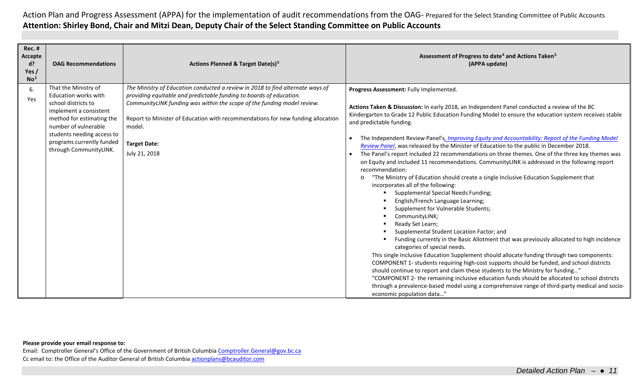| <b>Rec. #</b><br>Accepte<br>d?<br>Yes/<br>No <sup>2</sup> | <b>OAG Recommendations</b>                                                                                                                                                                                                              | Actions Planned & Target Date(s) <sup>3</sup>                                                                                                                                                                                                                                                                                                                         | Assessment of Progress to date <sup>4</sup> and Actions Taken <sup>5</sup><br>(APPA update)                                                                                                                                                                                                                                                                                                                                                                                                                                                                                                                                                                                                                                                                                                                                                                                                                                                                                                                                                                                                                                                                                                                                                                                                                                                                                                                                                                                                                                                                                                                                                                                                   |
|-----------------------------------------------------------|-----------------------------------------------------------------------------------------------------------------------------------------------------------------------------------------------------------------------------------------|-----------------------------------------------------------------------------------------------------------------------------------------------------------------------------------------------------------------------------------------------------------------------------------------------------------------------------------------------------------------------|-----------------------------------------------------------------------------------------------------------------------------------------------------------------------------------------------------------------------------------------------------------------------------------------------------------------------------------------------------------------------------------------------------------------------------------------------------------------------------------------------------------------------------------------------------------------------------------------------------------------------------------------------------------------------------------------------------------------------------------------------------------------------------------------------------------------------------------------------------------------------------------------------------------------------------------------------------------------------------------------------------------------------------------------------------------------------------------------------------------------------------------------------------------------------------------------------------------------------------------------------------------------------------------------------------------------------------------------------------------------------------------------------------------------------------------------------------------------------------------------------------------------------------------------------------------------------------------------------------------------------------------------------------------------------------------------------|
| 6.<br>Yes                                                 | That the Ministry of<br>Education works with<br>school districts to<br>implement a consistent<br>method for estimating the<br>number of vulnerable<br>students needing access to<br>programs currently funded<br>through CommunityLINK. | The Ministry of Education conducted a review in 2018 to find alternate ways of<br>providing equitable and predictable funding to boards of education.<br>CommunityLINK funding was within the scope of the funding model review.<br>Report to Minister of Education with recommendations for new funding allocation<br>model.<br><b>Target Date:</b><br>July 21, 2018 | Progress Assessment: Fully Implemented.<br>Actions Taken & Discussion: In early 2018, an Independent Panel conducted a review of the BC<br>Kindergarten to Grade 12 Public Education Funding Model to ensure the education system receives stable<br>and predictable funding.<br>The Independent Review Panel's, Improving Equity and Accountability: Report of the Funding Model<br>Review Panel, was released by the Minister of Education to the public in December 2018.<br>The Panel's report included 22 recommendations on three themes. One of the three key themes was<br>on Equity and included 11 recommendations. CommunityLINK is addressed in the following report<br>recommendation:<br>"The Ministry of Education should create a single Inclusive Education Supplement that<br>$\circ$<br>incorporates all of the following:<br>Supplemental Special Needs Funding;<br>English/French Language Learning;<br>Supplement for Vulnerable Students;<br>CommunityLINK;<br>Ready Set Learn;<br>Supplemental Student Location Factor; and<br>Funding currently in the Basic Allotment that was previously allocated to high incidence<br>categories of special needs.<br>This single Inclusive Education Supplement should allocate funding through two components:<br>COMPONENT 1- students requiring high-cost supports should be funded, and school districts<br>should continue to report and claim these students to the Ministry for funding"<br>"COMPONENT 2- the remaining inclusive education funds should be allocated to school districts<br>through a prevalence-based model using a comprehensive range of third-party medical and socio-<br>economic population data" |

### **Please provide your email response to:**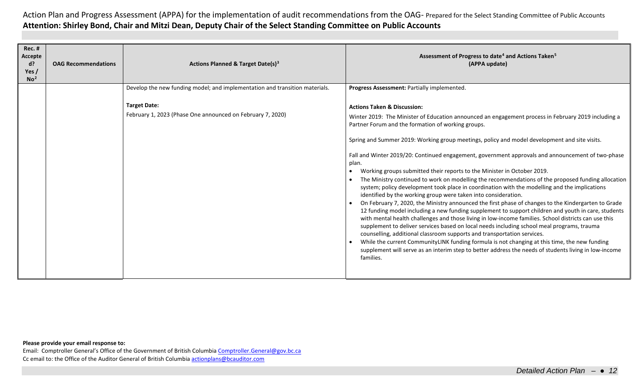| <b>Rec. #</b><br>Accepte<br>$d$ ?<br>Yes $/$<br>No <sup>2</sup> | <b>OAG Recommendations</b> | <b>Actions Planned &amp; Target Date(s)3</b>                                      | Assessment of Progress to date <sup>4</sup> and Actions Taken <sup>5</sup><br>(APPA update)                                                                                                                                                                                                                                                                                                                                                                                                                                                                                                                                                                                                                                                                                                                                                                                                                                                                                                                                                                                                                                                                                                                                                                                                                                                                                                                                                                                                  |
|-----------------------------------------------------------------|----------------------------|-----------------------------------------------------------------------------------|----------------------------------------------------------------------------------------------------------------------------------------------------------------------------------------------------------------------------------------------------------------------------------------------------------------------------------------------------------------------------------------------------------------------------------------------------------------------------------------------------------------------------------------------------------------------------------------------------------------------------------------------------------------------------------------------------------------------------------------------------------------------------------------------------------------------------------------------------------------------------------------------------------------------------------------------------------------------------------------------------------------------------------------------------------------------------------------------------------------------------------------------------------------------------------------------------------------------------------------------------------------------------------------------------------------------------------------------------------------------------------------------------------------------------------------------------------------------------------------------|
|                                                                 |                            | Develop the new funding model; and implementation and transition materials.       | Progress Assessment: Partially implemented.                                                                                                                                                                                                                                                                                                                                                                                                                                                                                                                                                                                                                                                                                                                                                                                                                                                                                                                                                                                                                                                                                                                                                                                                                                                                                                                                                                                                                                                  |
|                                                                 |                            | <b>Target Date:</b><br>February 1, 2023 (Phase One announced on February 7, 2020) | <b>Actions Taken &amp; Discussion:</b><br>Winter 2019: The Minister of Education announced an engagement process in February 2019 including a<br>Partner Forum and the formation of working groups.<br>Spring and Summer 2019: Working group meetings, policy and model development and site visits.<br>Fall and Winter 2019/20: Continued engagement, government approvals and announcement of two-phase<br>plan.<br>Working groups submitted their reports to the Minister in October 2019.<br>The Ministry continued to work on modelling the recommendations of the proposed funding allocation<br>system; policy development took place in coordination with the modelling and the implications<br>identified by the working group were taken into consideration.<br>On February 7, 2020, the Ministry announced the first phase of changes to the Kindergarten to Grade<br>12 funding model including a new funding supplement to support children and youth in care, students<br>with mental health challenges and those living in low-income families. School districts can use this<br>supplement to deliver services based on local needs including school meal programs, trauma<br>counselling, additional classroom supports and transportation services.<br>While the current CommunityLINK funding formula is not changing at this time, the new funding<br>supplement will serve as an interim step to better address the needs of students living in low-income<br>families. |

### **Please provide your email response to:**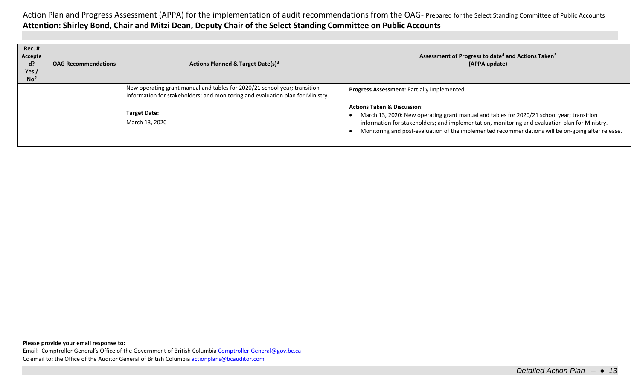| <b>Rec. #</b><br>Accepte<br>d?<br>Yes /<br>No <sup>2</sup> | <b>OAG Recommendations</b> | <b>Actions Planned &amp; Target Date(s)<sup>3</sup></b>                                                                                                     | Assessment of Progress to date <sup>4</sup> and Actions Taken <sup>5</sup><br>(APPA update)                                                                                                                                                                                                                                                |
|------------------------------------------------------------|----------------------------|-------------------------------------------------------------------------------------------------------------------------------------------------------------|--------------------------------------------------------------------------------------------------------------------------------------------------------------------------------------------------------------------------------------------------------------------------------------------------------------------------------------------|
|                                                            |                            | New operating grant manual and tables for 2020/21 school year; transition<br>information for stakeholders; and monitoring and evaluation plan for Ministry. | <b>Progress Assessment: Partially implemented.</b>                                                                                                                                                                                                                                                                                         |
|                                                            |                            | <b>Target Date:</b><br>March 13, 2020                                                                                                                       | <b>Actions Taken &amp; Discussion:</b><br>March 13, 2020: New operating grant manual and tables for 2020/21 school year; transition<br>information for stakeholders; and implementation, monitoring and evaluation plan for Ministry.<br>Monitoring and post-evaluation of the implemented recommendations will be on-going after release. |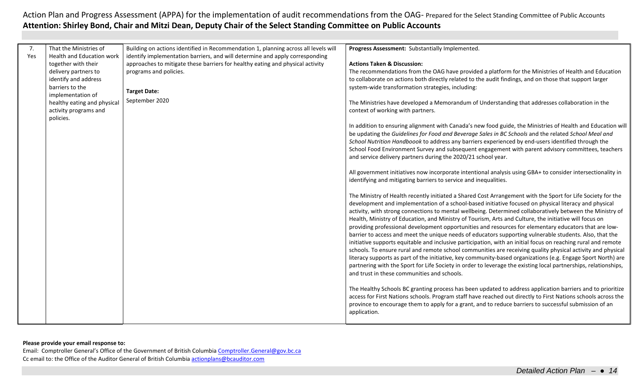| 7.  | That the Ministries of      | Building on actions identified in Recommendation 1, planning across all levels will | Progress Assessment: Substantially Implemented.                                                                 |
|-----|-----------------------------|-------------------------------------------------------------------------------------|-----------------------------------------------------------------------------------------------------------------|
| Yes | Health and Education work   | identify implementation barriers, and will determine and apply corresponding        |                                                                                                                 |
|     | together with their         | approaches to mitigate these barriers for healthy eating and physical activity      | <b>Actions Taken &amp; Discussion:</b>                                                                          |
|     | delivery partners to        | programs and policies.                                                              | The recommendations from the OAG have provided a platform for the Ministries of Health and Education            |
|     | identify and address        |                                                                                     | to collaborate on actions both directly related to the audit findings, and on those that support larger         |
|     | barriers to the             | <b>Target Date:</b>                                                                 | system-wide transformation strategies, including:                                                               |
|     | implementation of           |                                                                                     |                                                                                                                 |
|     | healthy eating and physical | September 2020                                                                      | The Ministries have developed a Memorandum of Understanding that addresses collaboration in the                 |
|     | activity programs and       |                                                                                     | context of working with partners.                                                                               |
|     | policies.                   |                                                                                     |                                                                                                                 |
|     |                             |                                                                                     | In addition to ensuring alignment with Canada's new food guide, the Ministries of Health and Education will     |
|     |                             |                                                                                     | be updating the Guidelines for Food and Beverage Sales in BC Schools and the related School Meal and            |
|     |                             |                                                                                     | School Nutrition Handboook to address any barriers experienced by end-users identified through the              |
|     |                             |                                                                                     | School Food Environment Survey and subsequent engagement with parent advisory committees, teachers              |
|     |                             |                                                                                     | and service delivery partners during the 2020/21 school year.                                                   |
|     |                             |                                                                                     |                                                                                                                 |
|     |                             |                                                                                     | All government initiatives now incorporate intentional analysis using GBA+ to consider intersectionality in     |
|     |                             |                                                                                     | identifying and mitigating barriers to service and inequalities.                                                |
|     |                             |                                                                                     |                                                                                                                 |
|     |                             |                                                                                     | The Ministry of Health recently initiated a Shared Cost Arrangement with the Sport for Life Society for the     |
|     |                             |                                                                                     | development and implementation of a school-based initiative focused on physical literacy and physical           |
|     |                             |                                                                                     | activity, with strong connections to mental wellbeing. Determined collaboratively between the Ministry of       |
|     |                             |                                                                                     | Health, Ministry of Education, and Ministry of Tourism, Arts and Culture, the initiative will focus on          |
|     |                             |                                                                                     | providing professional development opportunities and resources for elementary educators that are low-           |
|     |                             |                                                                                     | barrier to access and meet the unique needs of educators supporting vulnerable students. Also, that the         |
|     |                             |                                                                                     | initiative supports equitable and inclusive participation, with an initial focus on reaching rural and remote   |
|     |                             |                                                                                     | schools. To ensure rural and remote school communities are receiving quality physical activity and physical     |
|     |                             |                                                                                     | literacy supports as part of the initiative, key community-based organizations (e.g. Engage Sport North) are    |
|     |                             |                                                                                     | partnering with the Sport for Life Society in order to leverage the existing local partnerships, relationships, |
|     |                             |                                                                                     | and trust in these communities and schools.                                                                     |
|     |                             |                                                                                     |                                                                                                                 |
|     |                             |                                                                                     | The Healthy Schools BC granting process has been updated to address application barriers and to prioritize      |
|     |                             |                                                                                     | access for First Nations schools. Program staff have reached out directly to First Nations schools across the   |
|     |                             |                                                                                     | province to encourage them to apply for a grant, and to reduce barriers to successful submission of an          |
|     |                             |                                                                                     | application.                                                                                                    |
|     |                             |                                                                                     |                                                                                                                 |
|     |                             |                                                                                     |                                                                                                                 |

### **Please provide your email response to:**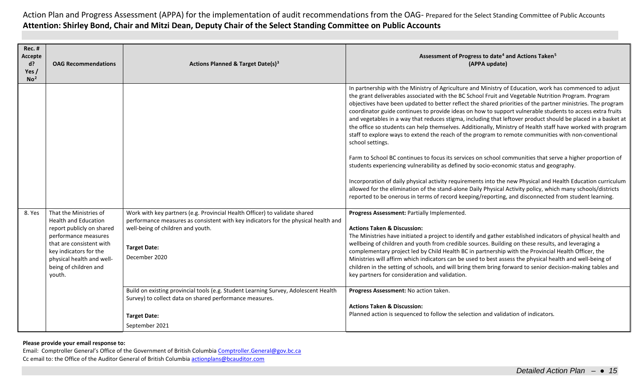| <b>Rec. #</b><br>Accepte<br>$d$ ?<br>Yes /<br>No <sup>2</sup> | <b>OAG Recommendations</b>                                                                                                                                                                                                       | Actions Planned & Target Date(s) <sup>3</sup>                                                                                                                                                                                                 | Assessment of Progress to date <sup>4</sup> and Actions Taken <sup>5</sup><br>(APPA update)                                                                                                                                                                                                                                                                                                                                                                                                                                                                                                                                                                                                                                                                                                                                                                                                                                                                                                                                                                                                                                                                                                                                                                                                                                                        |
|---------------------------------------------------------------|----------------------------------------------------------------------------------------------------------------------------------------------------------------------------------------------------------------------------------|-----------------------------------------------------------------------------------------------------------------------------------------------------------------------------------------------------------------------------------------------|----------------------------------------------------------------------------------------------------------------------------------------------------------------------------------------------------------------------------------------------------------------------------------------------------------------------------------------------------------------------------------------------------------------------------------------------------------------------------------------------------------------------------------------------------------------------------------------------------------------------------------------------------------------------------------------------------------------------------------------------------------------------------------------------------------------------------------------------------------------------------------------------------------------------------------------------------------------------------------------------------------------------------------------------------------------------------------------------------------------------------------------------------------------------------------------------------------------------------------------------------------------------------------------------------------------------------------------------------|
|                                                               |                                                                                                                                                                                                                                  |                                                                                                                                                                                                                                               | In partnership with the Ministry of Agriculture and Ministry of Education, work has commenced to adjust<br>the grant deliverables associated with the BC School Fruit and Vegetable Nutrition Program. Program<br>objectives have been updated to better reflect the shared priorities of the partner ministries. The program<br>coordinator guide continues to provide ideas on how to support vulnerable students to access extra fruits<br>and vegetables in a way that reduces stigma, including that leftover product should be placed in a basket at<br>the office so students can help themselves. Additionally, Ministry of Health staff have worked with program<br>staff to explore ways to extend the reach of the program to remote communities with non-conventional<br>school settings.<br>Farm to School BC continues to focus its services on school communities that serve a higher proportion of<br>students experiencing vulnerability as defined by socio-economic status and geography.<br>Incorporation of daily physical activity requirements into the new Physical and Health Education curriculum<br>allowed for the elimination of the stand-alone Daily Physical Activity policy, which many schools/districts<br>reported to be onerous in terms of record keeping/reporting, and disconnected from student learning. |
| 8. Yes                                                        | That the Ministries of<br><b>Health and Education</b><br>report publicly on shared<br>performance measures<br>that are consistent with<br>key indicators for the<br>physical health and well-<br>being of children and<br>youth. | Work with key partners (e.g. Provincial Health Officer) to validate shared<br>performance measures as consistent with key indicators for the physical health and<br>well-being of children and youth.<br><b>Target Date:</b><br>December 2020 | Progress Assessment: Partially Implemented.<br><b>Actions Taken &amp; Discussion:</b><br>The Ministries have initiated a project to identify and gather established indicators of physical health and<br>wellbeing of children and youth from credible sources. Building on these results, and leveraging a<br>complementary project led by Child Health BC in partnership with the Provincial Health Officer, the<br>Ministries will affirm which indicators can be used to best assess the physical health and well-being of<br>children in the setting of schools, and will bring them bring forward to senior decision-making tables and<br>key partners for consideration and validation.                                                                                                                                                                                                                                                                                                                                                                                                                                                                                                                                                                                                                                                     |
|                                                               |                                                                                                                                                                                                                                  | Build on existing provincial tools (e.g. Student Learning Survey, Adolescent Health<br>Survey) to collect data on shared performance measures.<br><b>Target Date:</b><br>September 2021                                                       | Progress Assessment: No action taken.<br><b>Actions Taken &amp; Discussion:</b><br>Planned action is sequenced to follow the selection and validation of indicators.                                                                                                                                                                                                                                                                                                                                                                                                                                                                                                                                                                                                                                                                                                                                                                                                                                                                                                                                                                                                                                                                                                                                                                               |

**Please provide your email response to:**